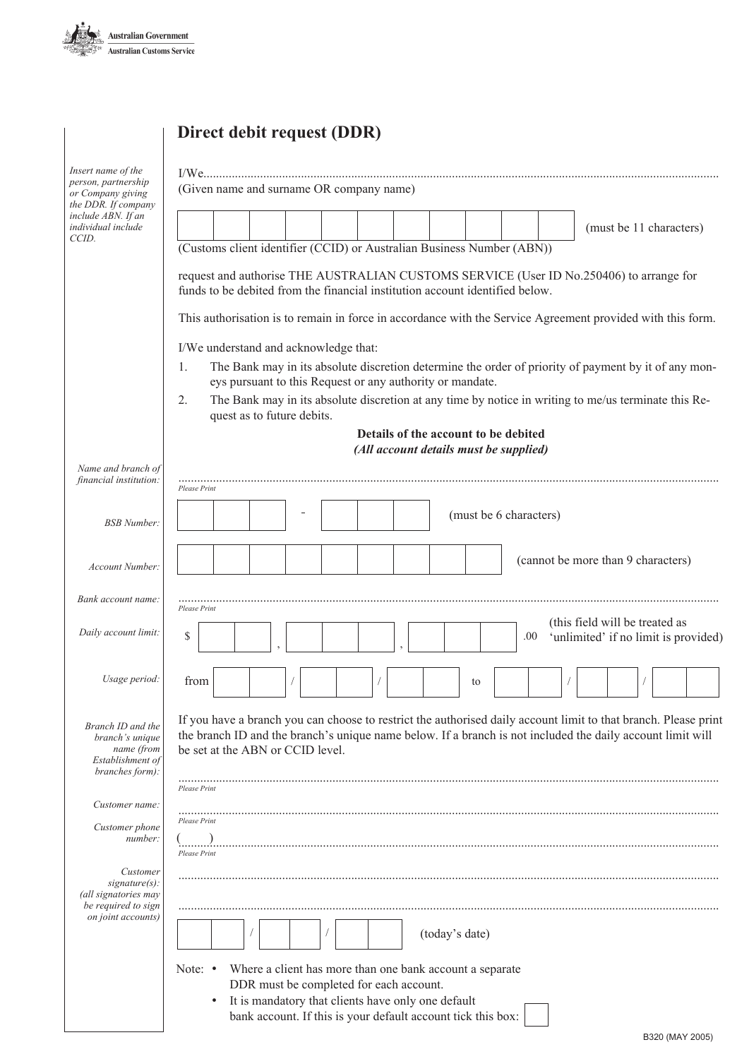

# **Direct debit request (DDR)**

| Insert name of the<br>person, partnership<br>or Company giving<br>the DDR. If company<br>include ABN. If an<br>individual include<br>CCID. | (Given name and surname OR company name)                                                                                                                                                                                                                          |
|--------------------------------------------------------------------------------------------------------------------------------------------|-------------------------------------------------------------------------------------------------------------------------------------------------------------------------------------------------------------------------------------------------------------------|
|                                                                                                                                            | (must be 11 characters)                                                                                                                                                                                                                                           |
|                                                                                                                                            | (Customs client identifier (CCID) or Australian Business Number (ABN))                                                                                                                                                                                            |
|                                                                                                                                            | request and authorise THE AUSTRALIAN CUSTOMS SERVICE (User ID No.250406) to arrange for<br>funds to be debited from the financial institution account identified below.                                                                                           |
|                                                                                                                                            | This authorisation is to remain in force in accordance with the Service Agreement provided with this form.                                                                                                                                                        |
|                                                                                                                                            | I/We understand and acknowledge that:                                                                                                                                                                                                                             |
|                                                                                                                                            | The Bank may in its absolute discretion determine the order of priority of payment by it of any mon-<br>1.<br>eys pursuant to this Request or any authority or mandate.                                                                                           |
|                                                                                                                                            | The Bank may in its absolute discretion at any time by notice in writing to me/us terminate this Re-<br>2.<br>quest as to future debits.                                                                                                                          |
|                                                                                                                                            | Details of the account to be debited<br>(All account details must be supplied)                                                                                                                                                                                    |
| Name and branch of<br>financial institution:                                                                                               | Please Print                                                                                                                                                                                                                                                      |
| <b>BSB</b> Number:                                                                                                                         | (must be 6 characters)                                                                                                                                                                                                                                            |
| Account Number:                                                                                                                            | (cannot be more than 9 characters)                                                                                                                                                                                                                                |
| Bank account name:                                                                                                                         | Please Print                                                                                                                                                                                                                                                      |
| Daily account limit:                                                                                                                       | (this field will be treated as<br>\$<br>'unlimited' if no limit is provided)<br>.00.                                                                                                                                                                              |
| Usage period:                                                                                                                              | from<br>to                                                                                                                                                                                                                                                        |
| Branch ID and the<br>branch's unique<br>name (from<br>Establishment of<br>branches form):                                                  | If you have a branch you can choose to restrict the authorised daily account limit to that branch. Please print<br>the branch ID and the branch's unique name below. If a branch is not included the daily account limit will<br>be set at the ABN or CCID level. |
|                                                                                                                                            | Please Print                                                                                                                                                                                                                                                      |
| Customer name:<br>Customer phone<br>number:                                                                                                | Please Print<br>$\sim$ )                                                                                                                                                                                                                                          |
|                                                                                                                                            | Please Print                                                                                                                                                                                                                                                      |
| Customer<br>$signature(s)$ :<br>(all signatories may<br>be required to sign                                                                |                                                                                                                                                                                                                                                                   |
| on joint accounts)                                                                                                                         | (today's date)                                                                                                                                                                                                                                                    |
|                                                                                                                                            | Note: $\bullet$<br>Where a client has more than one bank account a separate<br>DDR must be completed for each account.<br>It is mandatory that clients have only one default<br>٠<br>bank account. If this is your default account tick this box:                 |